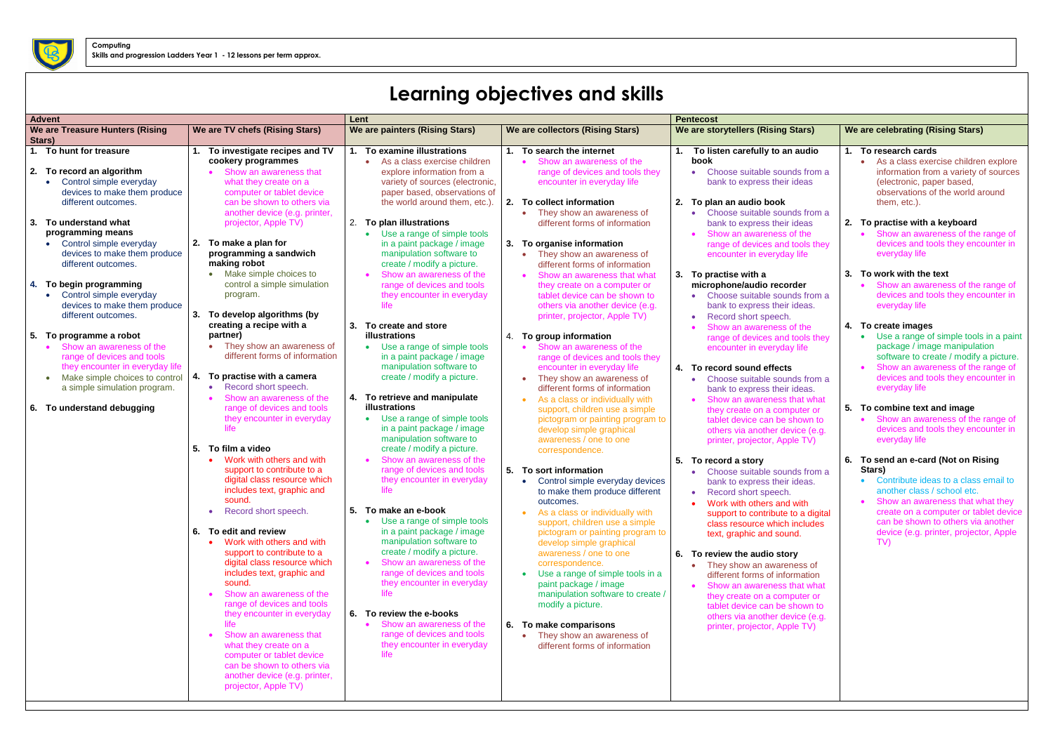## **Learning objectives and skills**

| <b>Advent</b><br>Lent                                                                                                                                                                                                                              |                                                                                                                                                                                                                                                                                                                                                                                                                                                                                                                                                                                                         |                                                                                                                                                                                                                                                                                                                                                                                                                                                                              | <b>Pentecost</b>                                                                                                                                                                                                                                                                                                                                                                                                                                                                                                        |                                                                                                                                                                                                                                                                                                                                                                                                                                                                                                                  |                                                                                                                                                                                                                                                                                                                                               |
|----------------------------------------------------------------------------------------------------------------------------------------------------------------------------------------------------------------------------------------------------|---------------------------------------------------------------------------------------------------------------------------------------------------------------------------------------------------------------------------------------------------------------------------------------------------------------------------------------------------------------------------------------------------------------------------------------------------------------------------------------------------------------------------------------------------------------------------------------------------------|------------------------------------------------------------------------------------------------------------------------------------------------------------------------------------------------------------------------------------------------------------------------------------------------------------------------------------------------------------------------------------------------------------------------------------------------------------------------------|-------------------------------------------------------------------------------------------------------------------------------------------------------------------------------------------------------------------------------------------------------------------------------------------------------------------------------------------------------------------------------------------------------------------------------------------------------------------------------------------------------------------------|------------------------------------------------------------------------------------------------------------------------------------------------------------------------------------------------------------------------------------------------------------------------------------------------------------------------------------------------------------------------------------------------------------------------------------------------------------------------------------------------------------------|-----------------------------------------------------------------------------------------------------------------------------------------------------------------------------------------------------------------------------------------------------------------------------------------------------------------------------------------------|
| We are Treasure Hunters (Rising                                                                                                                                                                                                                    | We are TV chefs (Rising Stars)                                                                                                                                                                                                                                                                                                                                                                                                                                                                                                                                                                          | We are painters (Rising Stars)                                                                                                                                                                                                                                                                                                                                                                                                                                               | We are collectors (Rising Stars)                                                                                                                                                                                                                                                                                                                                                                                                                                                                                        | We are storytellers (Rising Stars)                                                                                                                                                                                                                                                                                                                                                                                                                                                                               | We are celebrating (Rising Stars)                                                                                                                                                                                                                                                                                                             |
| Stars)                                                                                                                                                                                                                                             |                                                                                                                                                                                                                                                                                                                                                                                                                                                                                                                                                                                                         |                                                                                                                                                                                                                                                                                                                                                                                                                                                                              |                                                                                                                                                                                                                                                                                                                                                                                                                                                                                                                         |                                                                                                                                                                                                                                                                                                                                                                                                                                                                                                                  |                                                                                                                                                                                                                                                                                                                                               |
| 1. To hunt for treasure<br>2. To record an algorithm<br>Control simple everyday<br>devices to make them produce<br>different outcomes.<br>To understand what<br>3.<br>programming means<br>Control simple everyday<br>devices to make them produce | To investigate recipes and TV<br>cookery programmes<br>Show an awareness that<br>what they create on a<br>computer or tablet device<br>can be shown to others via<br>another device (e.g. printer,<br>projector, Apple TV)<br>2. To make a plan for<br>programming a sandwich                                                                                                                                                                                                                                                                                                                           | To examine illustrations<br>As a class exercise children<br>explore information from a<br>variety of sources (electronic,<br>paper based, observations of<br>the world around them, etc.).<br>2. To plan illustrations<br>Use a range of simple tools<br>in a paint package / image<br>manipulation software to                                                                                                                                                              | To search the internet<br>Show an awareness of the<br>range of devices and tools they<br>encounter in everyday life<br>2.<br>To collect information<br>They show an awareness of<br>$\bullet$<br>different forms of information<br>3. To organise information<br>They show an awareness of<br>٠                                                                                                                                                                                                                         | To listen carefully to an audio<br>book<br>Choose suitable sounds from a<br>bank to express their ideas<br>2. To plan an audio book<br>Choose suitable sounds from a<br>bank to express their ideas<br>Show an awareness of the<br>range of devices and tools they<br>encounter in everyday life                                                                                                                                                                                                                 | To research cards<br>As a class exercise children explore<br>information from a variety of sources<br>(electronic, paper based,<br>observations of the world around<br>them, etc.).<br>2.<br>To practise with a keyboard<br>Show an awareness of the range of<br>devices and tools they encounter in<br>everyday life                         |
| different outcomes.<br>To begin programming<br>4.<br>Control simple everyday<br>devices to make them produce<br>different outcomes.                                                                                                                | making robot<br>• Make simple choices to<br>control a simple simulation<br>program.<br>3.<br>To develop algorithms (by<br>creating a recipe with a                                                                                                                                                                                                                                                                                                                                                                                                                                                      | create / modify a picture.<br>Show an awareness of the<br>range of devices and tools<br>they encounter in everyday<br>life<br>3.<br>To create and store                                                                                                                                                                                                                                                                                                                      | different forms of information<br>Show an awareness that what<br>they create on a computer or<br>tablet device can be shown to<br>others via another device (e.g.<br>printer, projector, Apple TV)                                                                                                                                                                                                                                                                                                                      | 3. To practise with a<br>microphone/audio recorder<br>Choose suitable sounds from a<br>bank to express their ideas.<br>Record short speech.<br>Show an awareness of the                                                                                                                                                                                                                                                                                                                                          | 3.<br>To work with the text<br>Show an awareness of the range of<br>devices and tools they encounter in<br>everyday life<br>4.<br>To create images                                                                                                                                                                                            |
| 5.<br>To programme a robot<br>Show an awareness of the<br>range of devices and tools<br>they encounter in everyday life<br>Make simple choices to control<br>a simple simulation program.<br>6. To understand debugging                            | partner)<br>They show an awareness of<br>different forms of information<br>To practise with a camera<br>4.<br>Record short speech.<br>Show an awareness of the<br>range of devices and tools<br>they encounter in everyday<br>life.<br>5.<br>To film a video                                                                                                                                                                                                                                                                                                                                            | illustrations<br>Use a range of simple tools<br>$\bullet$<br>in a paint package / image<br>manipulation software to<br>create / modify a picture.<br>To retrieve and manipulate<br>4.<br>illustrations<br>Use a range of simple tools<br>$\bullet$<br>in a paint package / image<br>manipulation software to<br>create / modify a picture.                                                                                                                                   | To group information<br>4.<br>Show an awareness of the<br>range of devices and tools they<br>encounter in everyday life<br>They show an awareness of<br>$\bullet$<br>different forms of information<br>As a class or individually with<br>$\bullet$<br>support, children use a simple<br>pictogram or painting program to<br>develop simple graphical<br>awareness / one to one<br>correspondence.                                                                                                                      | range of devices and tools they<br>encounter in everyday life<br>4. To record sound effects<br>Choose suitable sounds from a<br>bank to express their ideas.<br>Show an awareness that what<br>they create on a computer or<br>tablet device can be shown to<br>others via another device (e.g.<br>printer, projector, Apple TV)                                                                                                                                                                                 | Use a range of simple tools in a paint<br>package / image manipulation<br>software to create / modify a picture.<br>Show an awareness of the range of<br>devices and tools they encounter in<br>everyday life<br>5.<br>To combine text and image<br>Show an awareness of the range of<br>devices and tools they encounter in<br>everyday life |
|                                                                                                                                                                                                                                                    | Work with others and with<br>support to contribute to a<br>digital class resource which<br>includes text, graphic and<br>sound.<br>Record short speech.<br>$\bullet$<br>6. To edit and review<br>Work with others and with<br>support to contribute to a<br>digital class resource which<br>includes text, graphic and<br>sound.<br>Show an awareness of the<br>range of devices and tools<br>they encounter in everyday<br>life<br>Show an awareness that<br>what they create on a<br>computer or tablet device<br>can be shown to others via<br>another device (e.g. printer,<br>projector, Apple TV) | Show an awareness of the<br>range of devices and tools<br>they encounter in everyday<br>life<br>5.<br>To make an e-book<br>Use a range of simple tools<br>in a paint package / image<br>manipulation software to<br>create / modify a picture.<br>Show an awareness of the<br>range of devices and tools<br>they encounter in everyday<br>life  <br>6. To review the e-books<br>Show an awareness of the<br>range of devices and tools<br>they encounter in everyday<br>life | 5. To sort information<br>Control simple everyday devices<br>to make them produce different<br>outcomes.<br>As a class or individually with<br>support, children use a simple<br>pictogram or painting program to<br>develop simple graphical<br>awareness / one to one<br>correspondence.<br>Use a range of simple tools in a<br>$\bullet$<br>paint package / image<br>manipulation software to create /<br>modify a picture.<br>6. To make comparisons<br>They show an awareness of<br>different forms of information | 5. To record a story<br>Choose suitable sounds from a<br>bank to express their ideas.<br>Record short speech.<br>Work with others and with<br>support to contribute to a digital<br>class resource which includes<br>text, graphic and sound.<br>6. To review the audio story<br>They show an awareness of<br>different forms of information<br>Show an awareness that what<br>they create on a computer or<br>tablet device can be shown to<br>others via another device (e.g.<br>printer, projector, Apple TV) | To send an e-card (Not on Rising<br>6.<br>Stars)<br>Contribute ideas to a class email to<br>another class / school etc.<br>Show an awareness that what they<br>create on a computer or tablet device<br>can be shown to others via another<br>device (e.g. printer, projector, Apple<br>TV)                                                   |